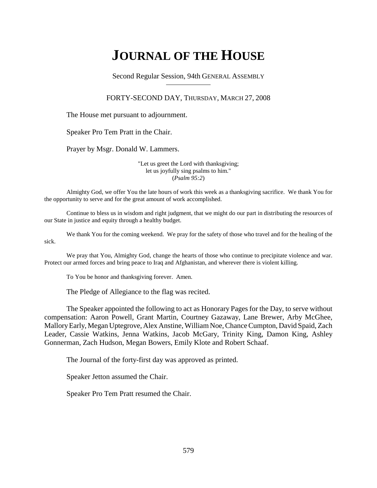# **JOURNAL OF THE HOUSE**

Second Regular Session, 94th GENERAL ASSEMBLY

### FORTY-SECOND DAY, THURSDAY, MARCH 27, 2008

The House met pursuant to adjournment.

Speaker Pro Tem Pratt in the Chair.

Prayer by Msgr. Donald W. Lammers.

"Let us greet the Lord with thanksgiving; let us joyfully sing psalms to him." (*Psalm 95:2*)

Almighty God, we offer You the late hours of work this week as a thanksgiving sacrifice. We thank You for the opportunity to serve and for the great amount of work accomplished.

Continue to bless us in wisdom and right judgment, that we might do our part in distributing the resources of our State in justice and equity through a healthy budget.

We thank You for the coming weekend. We pray for the safety of those who travel and for the healing of the sick.

We pray that You, Almighty God, change the hearts of those who continue to precipitate violence and war. Protect our armed forces and bring peace to Iraq and Afghanistan, and wherever there is violent killing.

To You be honor and thanksgiving forever. Amen.

The Pledge of Allegiance to the flag was recited.

The Speaker appointed the following to act as Honorary Pages for the Day, to serve without compensation: Aaron Powell, Grant Martin, Courtney Gazaway, Lane Brewer, Arby McGhee, Mallory Early, Megan Uptegrove, Alex Anstine, William Noe, Chance Cumpton, David Spaid, Zach Leader, Cassie Watkins, Jenna Watkins, Jacob McGary, Trinity King, Damon King, Ashley Gonnerman, Zach Hudson, Megan Bowers, Emily Klote and Robert Schaaf.

The Journal of the forty-first day was approved as printed.

Speaker Jetton assumed the Chair.

Speaker Pro Tem Pratt resumed the Chair.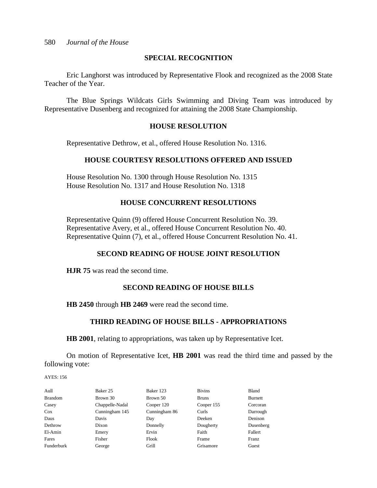# **SPECIAL RECOGNITION**

Eric Langhorst was introduced by Representative Flook and recognized as the 2008 State Teacher of the Year.

The Blue Springs Wildcats Girls Swimming and Diving Team was introduced by Representative Dusenberg and recognized for attaining the 2008 State Championship.

# **HOUSE RESOLUTION**

Representative Dethrow, et al., offered House Resolution No. 1316.

# **HOUSE COURTESY RESOLUTIONS OFFERED AND ISSUED**

House Resolution No. 1300 through House Resolution No. 1315 House Resolution No. 1317 and House Resolution No. 1318

# **HOUSE CONCURRENT RESOLUTIONS**

Representative Quinn (9) offered House Concurrent Resolution No. 39. Representative Avery, et al., offered House Concurrent Resolution No. 40. Representative Quinn (7), et al., offered House Concurrent Resolution No. 41.

# **SECOND READING OF HOUSE JOINT RESOLUTION**

**HJR 75** was read the second time.

# **SECOND READING OF HOUSE BILLS**

**HB 2450** through **HB 2469** were read the second time.

# **THIRD READING OF HOUSE BILLS - APPROPRIATIONS**

**HB 2001**, relating to appropriations, was taken up by Representative Icet.

On motion of Representative Icet, **HB 2001** was read the third time and passed by the following vote:

| Aull           | Baker 25        | Baker 123     | <b>Bivins</b> | Bland     |
|----------------|-----------------|---------------|---------------|-----------|
| <b>Brandom</b> | Brown 30        | Brown 50      | <b>Bruns</b>  | Burnett   |
| Casey          | Chappelle-Nadal | Cooper 120    | Cooper 155    | Corcoran  |
| $\cos$         | Cunningham 145  | Cunningham 86 | Curls         | Darrough  |
| Daus           | Davis           | Day           | Deeken        | Denison   |
| Dethrow        | Dixon           | Donnelly      | Dougherty     | Dusenberg |
| El-Amin        | Emery           | Ervin         | Faith         | Fallert   |
| Fares          | Fisher          | Flook         | Frame         | Franz     |
| Funderburk     | George          | Grill         | Grisamore     | Guest     |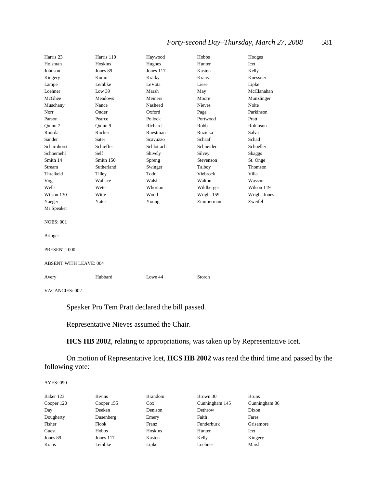| Harris 23             | Harris 110                    | Haywood    | Hobbs         | Hodges        |  |
|-----------------------|-------------------------------|------------|---------------|---------------|--|
| Holsman               | Hoskins                       | Hughes     | Hunter        | Icet          |  |
| Johnson               | Jones 89                      | Jones 117  | Kasten        | Kelly         |  |
| Kingery               | Komo                          | Kratky     | <b>Kraus</b>  | Kuessner      |  |
| Lampe                 | Lembke                        | LeVota     | Liese         | Lipke         |  |
| Loehner               | Low $39$                      | Marsh      | May           | McClanahan    |  |
| McGhee                | <b>Meadows</b>                | Meiners    | Moore         |               |  |
|                       |                               |            | <b>Nieves</b> | Munzlinger    |  |
| Muschany              | Nance                         | Nasheed    |               | Nolte         |  |
| Norr                  | Onder                         | Oxford     | Page          | Parkinson     |  |
| Parson                | Pearce                        | Pollock    | Portwood      | Pratt         |  |
| Quinn 7               | Quinn 9                       | Richard    | Robb          | Robinson      |  |
| Roorda                | Rucker                        | Ruestman   | Ruzicka       | Salva         |  |
| Sander                | Sater                         | Scavuzzo   | Schaaf        | Schad         |  |
| Scharnhorst           | Schieffer                     | Schlottach | Schneider     | Schoeller     |  |
| Schoemehl             | Self                          | Shively    | Silvey        | <b>Skaggs</b> |  |
| Smith 14              | Smith 150                     | Spreng     | Stevenson     | St. Onge      |  |
| Stream                | Sutherland                    | Swinger    | Talboy        | Thomson       |  |
| Threlkeld             | Tilley                        | Todd       | Viebrock      | Villa         |  |
| Vogt                  | Wallace                       | Walsh      | Walton        | Wasson        |  |
| Wells                 | Weter                         | Whorton    | Wildberger    | Wilson 119    |  |
| Wilson 130            | Witte                         | Wood       | Wright 159    | Wright-Jones  |  |
| Yaeger                | Yates                         | Young      | Zimmerman     | Zweifel       |  |
| Mr Speaker            |                               |            |               |               |  |
| <b>NOES: 001</b>      |                               |            |               |               |  |
| <b>Bringer</b>        |                               |            |               |               |  |
| PRESENT: 000          |                               |            |               |               |  |
|                       | <b>ABSENT WITH LEAVE: 004</b> |            |               |               |  |
| Avery                 | Hubbard                       | Lowe 44    | Storch        |               |  |
| <b>VACANCIES: 002</b> |                               |            |               |               |  |

Speaker Pro Tem Pratt declared the bill passed.

Representative Nieves assumed the Chair.

**HCS HB 2002**, relating to appropriations, was taken up by Representative Icet.

On motion of Representative Icet, **HCS HB 2002** was read the third time and passed by the following vote:

| Baker 123  | <b>Bivins</b> | <b>Brandom</b> | Brown 30       | <b>Bruns</b>  |
|------------|---------------|----------------|----------------|---------------|
| Cooper 120 | Cooper 155    | $\cos$         | Cunningham 145 | Cunningham 86 |
| Day        | Deeken        | Denison        | Dethrow        | Dixon         |
| Dougherty  | Dusenberg     | Emery          | Faith          | Fares         |
| Fisher     | Flook         | Franz          | Funderburk     | Grisamore     |
| Guest      | Hobbs         | Hoskins        | Hunter         | Icet          |
| Jones 89   | Jones 117     | Kasten         | Kelly          | Kingery       |
| Kraus      | Lembke        | Lipke          | Loehner        | Marsh         |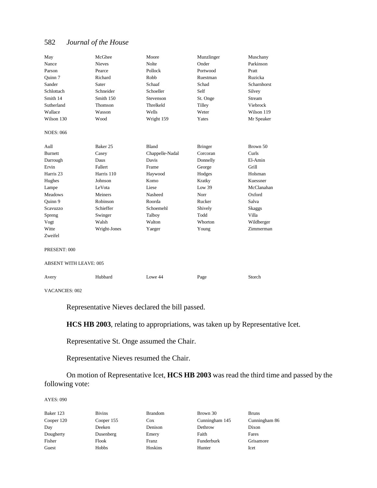| May                           | McGhee        | Moore           | Munzlinger     | Muschany      |
|-------------------------------|---------------|-----------------|----------------|---------------|
| Nance                         | <b>Nieves</b> | <b>Nolte</b>    | Onder          | Parkinson     |
| Parson                        | Pearce        | Pollock         | Portwood       | Pratt         |
| Quinn 7                       | Richard       | Robb            | Ruestman       | Ruzicka       |
| Sander                        | Sater         | Schaaf          | Schad          | Scharnhorst   |
| Schlottach                    | Schneider     | Schoeller       | Self           | Silvey        |
| Smith 14                      | Smith 150     | Stevenson       | St. Onge       | Stream        |
| Sutherland                    | Thomson       | Threlkeld       | <b>Tilley</b>  | Viebrock      |
| Wallace                       | Wasson        | Wells           | Weter          | Wilson 119    |
| Wilson 130                    | Wood          | Wright 159      | Yates          | Mr Speaker    |
| <b>NOES: 066</b>              |               |                 |                |               |
| Aull                          | Baker 25      | <b>Bland</b>    | <b>Bringer</b> | Brown 50      |
| <b>Burnett</b>                | Casey         | Chappelle-Nadal | Corcoran       | Curls         |
| Darrough                      | Daus          | Davis           | Donnelly       | El-Amin       |
| Ervin                         | Fallert       | Frame           | George         | Grill         |
| Harris 23                     | Harris 110    | Haywood         | Hodges         | Holsman       |
| Hughes                        | Johnson       | Komo            | Kratky         | Kuessner      |
| Lampe                         | LeVota        | Liese           | Low 39         | McClanahan    |
| <b>Meadows</b>                | Meiners       | Nasheed         | Norr           | Oxford        |
| Quinn 9                       | Robinson      | Roorda          | Rucker         | Salva         |
| Scavuzzo                      | Schieffer     | Schoemehl       | Shively        | <b>Skaggs</b> |
| Spreng                        | Swinger       | Talboy          | Todd           | Villa         |
| Vogt                          | Walsh         | Walton          | Whorton        | Wildberger    |
| Witte                         | Wright-Jones  | Yaeger          | Young          | Zimmerman     |
| Zweifel                       |               |                 |                |               |
| PRESENT: 000                  |               |                 |                |               |
| <b>ABSENT WITH LEAVE: 005</b> |               |                 |                |               |
| Avery                         | Hubbard       | Lowe 44         | Page           | Storch        |
| <b>VACANCIES: 002</b>         |               |                 |                |               |

Representative Nieves declared the bill passed.

**HCS HB 2003**, relating to appropriations, was taken up by Representative Icet.

Representative St. Onge assumed the Chair.

Representative Nieves resumed the Chair.

On motion of Representative Icet, **HCS HB 2003** was read the third time and passed by the following vote:

AYES: 090

| Baker 123  | <b>Bivins</b> | <b>Brandom</b> | Brown 30       | <b>Bruns</b> |
|------------|---------------|----------------|----------------|--------------|
| Cooper 120 | Cooper 155    | Cox            | Cunningham 145 | Cunni        |
| Day        | Deeken        | Denison        | Dethrow        | Dixon        |
| Dougherty  | Dusenberg     | Emery          | Faith          | Fares        |
| Fisher     | Flook         | Franz          | Funderburk     | Grisar       |
| Guest      | Hobbs         | Hoskins        | Hunter         | Icet         |

Cunningham 145 Cunningham 86 Funderburk Grisamore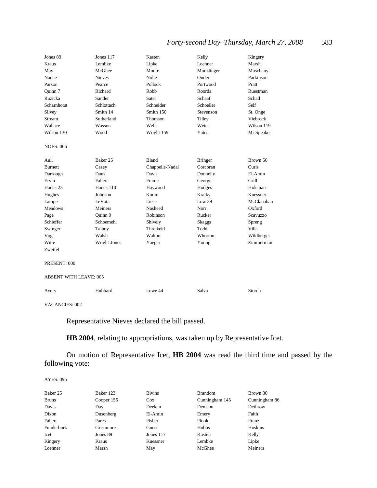| Jones 89                      | Jones 117     | Kasten          | Kelly          | Kingery         |
|-------------------------------|---------------|-----------------|----------------|-----------------|
| Kraus                         | Lembke        | Lipke           | Loehner        | Marsh           |
| May                           | McGhee        | Moore           | Munzlinger     | Muschany        |
| Nance                         | <b>Nieves</b> | <b>Nolte</b>    | Onder          | Parkinson       |
| Parson                        | Pearce        | Pollock         | Portwood       | Pratt           |
| Quinn 7                       | Richard       | Robb            | Roorda         | Ruestman        |
| Ruzicka                       | Sander        | Sater           | Schaaf         | Schad           |
| Scharnhorst                   | Schlottach    | Schneider       | Schoeller      | Self            |
| Silvey                        | Smith 14      | Smith 150       | Stevenson      | St. Onge        |
| Stream                        | Sutherland    | Thomson         | Tilley         | Viebrock        |
| Wallace                       | Wasson        | Wells           | Weter          | Wilson 119      |
| Wilson 130                    | Wood          | Wright 159      | Yates          | Mr Speaker      |
| <b>NOES: 066</b>              |               |                 |                |                 |
| Aull                          | Baker 25      | Bland           | <b>Bringer</b> | Brown 50        |
| <b>Burnett</b>                | Casey         | Chappelle-Nadal | Corcoran       | Curls           |
| Darrough                      | Daus          | Davis           | Donnelly       | El-Amin         |
| Ervin                         | Fallert       | Frame           | George         | Grill           |
| Harris <sub>23</sub>          | Harris 110    | Haywood         | Hodges         | Holsman         |
| Hughes                        | Johnson       | Komo            | Kratky         | Kuessner        |
| Lampe                         | LeVota        | Liese           | Low 39         | McClanahan      |
| <b>Meadows</b>                | Meiners       | Nasheed         | Norr           | Oxford          |
| Page                          | Ouinn 9       | Robinson        | Rucker         | <b>Scavuzzo</b> |
| Schieffer                     | Schoemehl     | Shively         | <b>Skaggs</b>  | Spreng          |
| Swinger                       | Talboy        | Threlkeld       | Todd           | Villa           |
| Vogt                          | Walsh         | Walton          | Whorton        | Wildberger      |
| Witte                         | Wright-Jones  | Yaeger          | Young          | Zimmerman       |
| Zweifel                       |               |                 |                |                 |
| PRESENT: 000                  |               |                 |                |                 |
| <b>ABSENT WITH LEAVE: 005</b> |               |                 |                |                 |
| Avery                         | Hubbard       | Lowe 44         | Salva          | Storch          |

VACANCIES: 002

Representative Nieves declared the bill passed.

**HB 2004**, relating to appropriations, was taken up by Representative Icet.

On motion of Representative Icet, **HB 2004** was read the third time and passed by the following vote:

| Baker 25   | Baker 123  | <b>Bivins</b> | <b>Brandom</b> | Brown 30      |
|------------|------------|---------------|----------------|---------------|
| Bruns      | Cooper 155 | $\cos$        | Cunningham 145 | Cunningham 86 |
| Davis      | Day        | Deeken        | Denison        | Dethrow       |
| Dixon      | Dusenberg  | El-Amin       | Emery          | Faith         |
| Fallert    | Fares      | Fisher        | Flook          | Franz         |
| Funderburk | Grisamore  | Guest         | Hobbs          | Hoskins       |
| Icet       | Jones 89   | Jones $117$   | Kasten         | Kelly         |
| Kingery    | Kraus      | Kuessner      | Lembke         | Lipke         |
| Loehner    | Marsh      | May           | McGhee         | Meiners       |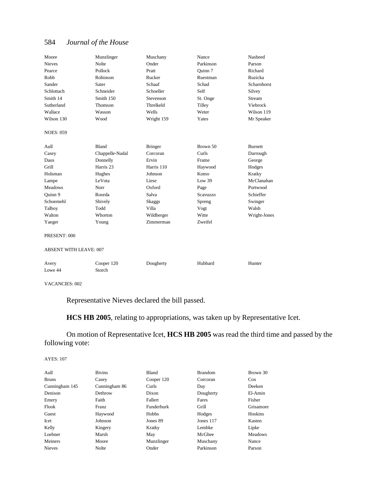| Moore                         | Munzlinger           | Muschany       | Nance     | Nasheed        |
|-------------------------------|----------------------|----------------|-----------|----------------|
| <b>Nieves</b>                 | Nolte                | Onder          | Parkinson | Parson         |
| Pearce                        | Pollock              | Pratt          | Ouinn 7   | Richard        |
| Robb                          | Robinson             | Rucker         | Ruestman  | Ruzicka        |
| Sander                        | Sater                | Schaaf         | Schad     | Scharnhorst    |
| Schlottach                    | Schneider            | Schoeller      | Self      | Silvey         |
| Smith 14                      | Smith 150            | Stevenson      | St. Onge  | Stream         |
| Sutherland                    | Thomson              | Threlkeld      | Tilley    | Viebrock       |
| Wallace                       | Wasson               | Wells          | Weter     | Wilson 119     |
| Wilson 130                    | Wood                 | Wright 159     | Yates     | Mr Speaker     |
| <b>NOES: 059</b>              |                      |                |           |                |
| Aull                          | <b>Bland</b>         | <b>Bringer</b> | Brown 50  | <b>Burnett</b> |
| Casey                         | Chappelle-Nadal      | Corcoran       | Curls     | Darrough       |
| Daus                          | Donnelly             | Ervin          | Frame     | George         |
| Grill                         | Harris <sub>23</sub> | Harris 110     | Haywood   | Hodges         |
| Holsman                       | Hughes               | Johnson        | Komo      | Kratky         |
| Lampe                         | LeVota               | Liese          | Low 39    | McClanahan     |
| <b>Meadows</b>                | Norr                 | Oxford         | Page      | Portwood       |
| Quinn 9                       | Roorda               | Salva          | Scavuzzo  | Schieffer      |
| Schoemehl                     | Shively              | <b>Skaggs</b>  | Spreng    | Swinger        |
| Talboy                        | Todd                 | Villa          | Vogt      | Walsh          |
| Walton                        | Whorton              | Wildberger     | Witte     | Wright-Jones   |
| Yaeger                        | Young                | Zimmerman      | Zweifel   |                |
| PRESENT: 000                  |                      |                |           |                |
| <b>ABSENT WITH LEAVE: 007</b> |                      |                |           |                |
| Avery                         | Cooper 120           | Dougherty      | Hubbard   | Hunter         |
| Lowe 44                       | Storch               |                |           |                |
|                               |                      |                |           |                |

VACANCIES: 002

Representative Nieves declared the bill passed.

**HCS HB 2005**, relating to appropriations, was taken up by Representative Icet.

# On motion of Representative Icet, **HCS HB 2005** was read the third time and passed by the following vote:

| <b>Bivins</b> | <b>Bland</b> | <b>Brandom</b> | Brown 30       |
|---------------|--------------|----------------|----------------|
| Casey         | Cooper 120   | Corcoran       | $\cos$         |
| Cunningham 86 | Curls        | Day            | Deeken         |
| Dethrow       | Dixon        | Dougherty      | El-Amin        |
| Faith         | Fallert      | Fares          | Fisher         |
| Franz         | Funderburk   | Grill          | Grisamore      |
| Haywood       | Hobbs        | Hodges         | Hoskins        |
| Johnson       | Jones 89     | Jones 117      | Kasten         |
| Kingery       | Kratky       | Lembke         | Lipke          |
| Marsh         | May          | McGhee         | <b>Meadows</b> |
| Moore         | Munzlinger   | Muschany       | Nance          |
| Nolte         | Onder        | Parkinson      | Parson         |
|               |              |                |                |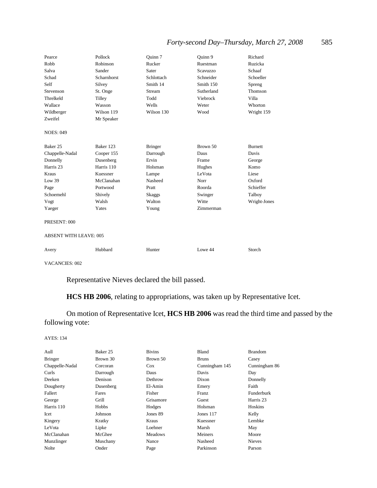| Pearce                        | Pollock            | Quinn 7        | Quinn 9    | Richard        |
|-------------------------------|--------------------|----------------|------------|----------------|
| Robb                          | Robinson           | Rucker         | Ruestman   | Ruzicka        |
| Salva                         | Sander             | Sater          | Scavuzzo   | Schaaf         |
| Schad                         | <b>Scharnhorst</b> | Schlottach     | Schneider  | Schoeller      |
| Self                          | Silvey             | Smith 14       | Smith 150  | Spreng         |
| Stevenson                     | St. Onge           | Stream         | Sutherland | Thomson        |
| Threlkeld                     | Tilley             | Todd           | Viebrock   | Villa          |
| Wallace                       | Wasson             | Wells          | Weter      | Whorton        |
| Wildberger                    | Wilson 119         | Wilson 130     | Wood       | Wright 159     |
| Zweifel                       | Mr Speaker         |                |            |                |
| <b>NOES: 049</b>              |                    |                |            |                |
|                               |                    |                |            |                |
| Baker 25                      | Baker 123          | <b>Bringer</b> | Brown 50   | <b>Burnett</b> |
| Chappelle-Nadal               | Cooper 155         | Darrough       | Daus       | Davis          |
| Donnelly                      | Dusenberg          | Ervin          | Frame      | George         |
| Harris 23                     | Harris 110         | Holsman        | Hughes     | Komo           |
| Kraus                         | Kuessner           | Lampe          | LeVota     | Liese          |
| Low 39                        | McClanahan         | Nasheed        | Norr       | Oxford         |
| Page                          | Portwood           | Pratt          | Roorda     | Schieffer      |
| Schoemehl                     | Shively            | <b>Skaggs</b>  | Swinger    | Talboy         |
| Vogt                          | Walsh              | Walton         | Witte      | Wright-Jones   |
| Yaeger                        | Yates              | Young          | Zimmerman  |                |
| PRESENT: 000                  |                    |                |            |                |
| <b>ABSENT WITH LEAVE: 005</b> |                    |                |            |                |
| Avery                         | Hubbard            | Hunter         | Lowe 44    | Storch         |

VACANCIES: 002

Representative Nieves declared the bill passed.

**HCS HB 2006**, relating to appropriations, was taken up by Representative Icet.

On motion of Representative Icet, **HCS HB 2006** was read the third time and passed by the following vote:

| Aull            | Baker 25     | <b>Bivins</b>  | Bland          | <b>Brandom</b> |
|-----------------|--------------|----------------|----------------|----------------|
| <b>Bringer</b>  | Brown 30     | Brown 50       | <b>Bruns</b>   | Casey          |
| Chappelle-Nadal | Corcoran     | $\cos$         | Cunningham 145 | Cunningham 86  |
| Curls           | Darrough     | Daus           | Davis          | Day            |
| Deeken          | Denison      | Dethrow        | Dixon          | Donnelly       |
| Dougherty       | Dusenberg    | El-Amin        | Emery          | Faith          |
| Fallert         | Fares        | Fisher         | Franz          | Funderburk     |
| George          | Grill        | Grisamore      | Guest          | Harris 23      |
| Harris 110      | <b>Hobbs</b> | Hodges         | Holsman        | <b>Hoskins</b> |
| Icet            | Johnson      | Jones 89       | Jones 117      | Kelly          |
| Kingery         | Kratky       | Kraus          | Kuessner       | Lembke         |
| LeVota          | Lipke        | Loehner        | Marsh          | May            |
| McClanahan      | McGhee       | <b>Meadows</b> | Meiners        | Moore          |
| Munzlinger      | Muschany     | Nance          | Nasheed        | <b>Nieves</b>  |
| Nolte           | Onder        | Page           | Parkinson      | Parson         |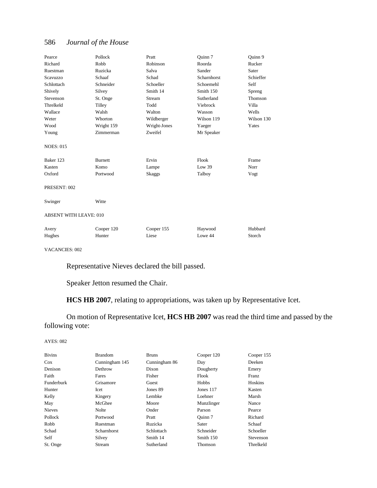| Pearce                 | Pollock        | Pratt        | Ouinn 7     | Quinn 9    |
|------------------------|----------------|--------------|-------------|------------|
| Richard                | Robb           | Robinson     | Roorda      | Rucker     |
| Ruestman               | Ruzicka        | Salva        | Sander      | Sater      |
| Scavuzzo               | Schaaf         | Schad        | Scharnhorst | Schieffer  |
| Schlottach             | Schneider      | Schoeller    | Schoemehl   | Self       |
| Shively                | Silvey         | Smith 14     | Smith 150   | Spreng     |
| Stevenson              | St. Onge       | Stream       | Sutherland  | Thomson    |
| Threlkeld              | Tilley         | Todd         | Viebrock    | Villa      |
| Wallace                | Walsh          | Walton       | Wasson      | Wells      |
| Weter                  | Whorton        | Wildberger   | Wilson 119  | Wilson 130 |
| Wood                   | Wright 159     | Wright-Jones | Yaeger      | Yates      |
| Young                  | Zimmerman      | Zweifel      | Mr Speaker  |            |
| <b>NOES: 015</b>       |                |              |             |            |
| Baker 123              | <b>Burnett</b> | Ervin        | Flook       | Frame      |
| Kasten                 | Komo           | Lampe        | Low $39$    | Norr       |
| Oxford                 | Portwood       | Skaggs       | Talboy      | Vogt       |
| PRESENT: 002           |                |              |             |            |
| Swinger                | Witte          |              |             |            |
| ABSENT WITH LEAVE: 010 |                |              |             |            |
| Avery                  | Cooper 120     | Cooper 155   | Haywood     | Hubbard    |
| Hughes                 | Hunter         | Liese        | Lowe 44     | Storch     |

VACANCIES: 002

Representative Nieves declared the bill passed.

Speaker Jetton resumed the Chair.

**HCS HB 2007**, relating to appropriations, was taken up by Representative Icet.

On motion of Representative Icet, **HCS HB 2007** was read the third time and passed by the following vote:

| <b>Bivins</b> | <b>Brandom</b> | <b>Bruns</b>  | Cooper 120 | Cooper 155 |
|---------------|----------------|---------------|------------|------------|
| $\cos$        | Cunningham 145 | Cunningham 86 | Day        | Deeken     |
| Denison       | Dethrow        | Dixon         | Dougherty  | Emery      |
| Faith         | Fares          | Fisher        | Flook      | Franz      |
| Funderburk    | Grisamore      | Guest         | Hobbs      | Hoskins    |
| Hunter        | Icet           | Jones 89      | Jones 117  | Kasten     |
| Kelly         | Kingery        | Lembke        | Loehner    | Marsh      |
| May           | McGhee         | Moore         | Munzlinger | Nance      |
| <b>Nieves</b> | Nolte          | Onder         | Parson     | Pearce     |
| Pollock       | Portwood       | Pratt         | Ouinn 7    | Richard    |
| Robb          | Ruestman       | Ruzicka       | Sater      | Schaaf     |
| Schad         | Scharnhorst    | Schlottach    | Schneider  | Schoeller  |
| Self          | Silvey         | Smith 14      | Smith 150  | Stevenson  |
| St. Onge      | Stream         | Sutherland    | Thomson    | Threlkeld  |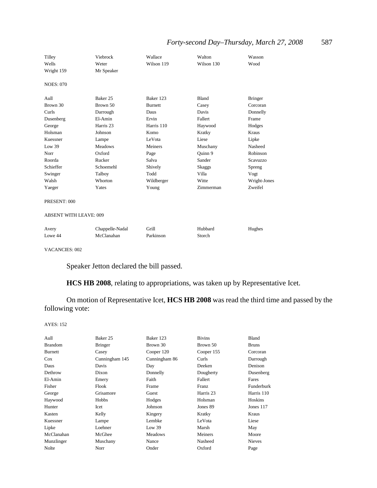| Tilley<br>Wells<br>Wright 159 | Viebrock<br>Weter<br>Mr Speaker | Wallace<br>Wilson 119 | Walton<br>Wilson 130 | Wasson<br>Wood |
|-------------------------------|---------------------------------|-----------------------|----------------------|----------------|
| <b>NOES: 070</b>              |                                 |                       |                      |                |
| Aull                          | Baker 25                        | Baker 123             | Bland                | <b>Bringer</b> |
| Brown 30                      | Brown 50                        | <b>Burnett</b>        | Casey                | Corcoran       |
| Curls                         | Darrough                        | Daus                  | Davis                | Donnelly       |
| Dusenberg                     | El-Amin                         | Ervin                 | Fallert              | Frame          |
| George                        | Harris 23                       | Harris 110            | Haywood              | Hodges         |
| Holsman                       | Johnson                         | Komo                  | Kratky               | Kraus          |
| Kuessner                      | Lampe                           | LeVota                | Liese                | Lipke          |
| Low 39                        | <b>Meadows</b>                  | Meiners               | Muschany             | Nasheed        |
| Norr                          | Oxford                          | Page                  | Quinn 9              | Robinson       |
| Roorda                        | Rucker                          | Salva                 | Sander               | Scavuzzo       |
| Schieffer                     | Schoemehl                       | Shively               | Skaggs               | Spreng         |
| Swinger                       | Talboy                          | Todd                  | Villa                | Vogt           |
| Walsh                         | Whorton                         | Wildberger            | Witte                | Wright-Jones   |
| Yaeger                        | Yates                           | Young                 | Zimmerman            | Zweifel        |

#### PRESENT: 000

#### ABSENT WITH LEAVE: 009

| Avery   | Chappelle-Nadal | Grill     | Hubbard | Hughes |
|---------|-----------------|-----------|---------|--------|
| Lowe 44 | McClanahan      | Parkinson | Storch  |        |

VACANCIES: 002

Speaker Jetton declared the bill passed.

**HCS HB 2008**, relating to appropriations, was taken up by Representative Icet.

On motion of Representative Icet, **HCS HB 2008** was read the third time and passed by the following vote:

| Aull           | Baker 25       | Baker 123      | <b>Bivins</b> | Bland         |
|----------------|----------------|----------------|---------------|---------------|
| <b>Brandom</b> | <b>Bringer</b> | Brown 30       | Brown 50      | <b>Bruns</b>  |
| <b>Burnett</b> | Casey          | Cooper 120     | Cooper 155    | Corcoran      |
| $\cos$         | Cunningham 145 | Cunningham 86  | Curls         | Darrough      |
| Daus           | Davis          | Day            | Deeken        | Denison       |
| Dethrow        | Dixon          | Donnelly       | Dougherty     | Dusenberg     |
| El-Amin        | Emery          | Faith          | Fallert       | Fares         |
| Fisher         | Flook          | Frame          | Franz         | Funderburk    |
| George         | Grisamore      | Guest          | Harris 23     | Harris 110    |
| Haywood        | Hobbs          | Hodges         | Holsman       | Hoskins       |
| Hunter         | Icet           | Johnson        | Jones 89      | Jones 117     |
| Kasten         | Kelly          | Kingery        | Kratky        | Kraus         |
| Kuessner       | Lampe          | Lembke         | LeVota        | Liese         |
| Lipke          | Loehner        | Low 39         | Marsh         | May           |
| McClanahan     | McGhee         | <b>Meadows</b> | Meiners       | Moore         |
| Munzlinger     | Muschany       | Nance          | Nasheed       | <b>Nieves</b> |
| Nolte          | Norr           | Onder          | Oxford        | Page          |
|                |                |                |               |               |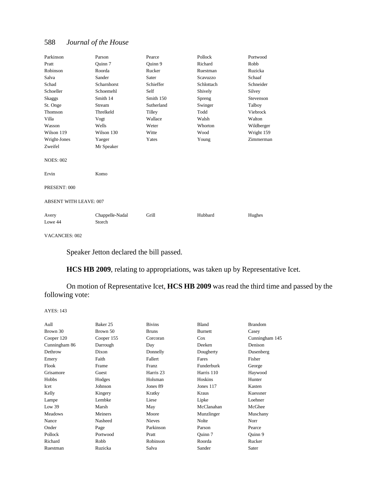| Parkinson                     | Parson          | Pearce     | Pollock    | Portwood   |
|-------------------------------|-----------------|------------|------------|------------|
| Pratt                         | Quinn 7         | Quinn 9    | Richard    | Robb       |
| Robinson                      | Roorda          | Rucker     | Ruestman   | Ruzicka    |
| Salva                         | Sander          | Sater      | Scavuzzo   | Schaaf     |
| Schad                         | Scharnhorst     | Schieffer  | Schlottach | Schneider  |
| Schoeller                     | Schoemehl       | Self       | Shively    | Silvey     |
| Skaggs                        | Smith 14        | Smith 150  | Spreng     | Stevenson  |
| St. Onge                      | Stream          | Sutherland | Swinger    | Talboy     |
| Thomson                       | Threlkeld       | Tilley     | Todd       | Viebrock   |
| Villa                         | Vogt            | Wallace    | Walsh      | Walton     |
| Wasson                        | Wells           | Weter      | Whorton    | Wildberger |
| Wilson 119                    | Wilson 130      | Witte      | Wood       | Wright 159 |
| Wright-Jones                  | Yaeger          | Yates      | Young      | Zimmerman  |
| Zweifel                       | Mr Speaker      |            |            |            |
| <b>NOES: 002</b>              |                 |            |            |            |
| Ervin                         | Komo            |            |            |            |
| PRESENT: 000                  |                 |            |            |            |
| <b>ABSENT WITH LEAVE: 007</b> |                 |            |            |            |
| Avery                         | Chappelle-Nadal | Grill      | Hubbard    | Hughes     |
| Lowe 44                       | Storch          |            |            |            |

VACANCIES: 002

Speaker Jetton declared the bill passed.

**HCS HB 2009**, relating to appropriations, was taken up by Representative Icet.

On motion of Representative Icet, **HCS HB 2009** was read the third time and passed by the following vote:

| Aull           | Baker 25   | <b>Bivins</b> | Bland      | <b>Brandom</b> |
|----------------|------------|---------------|------------|----------------|
| Brown 30       | Brown 50   | <b>Bruns</b>  | Burnett    | Casey          |
| Cooper 120     | Cooper 155 | Corcoran      | $\cos$     | Cunningham 145 |
| Cunningham 86  | Darrough   | Day           | Deeken     | Denison        |
| Dethrow        | Dixon      | Donnelly      | Dougherty  | Dusenberg      |
| Emery          | Faith      | Fallert       | Fares      | Fisher         |
| Flook          | Frame      | Franz         | Funderburk | George         |
| Grisamore      | Guest      | Harris 23     | Harris 110 | Haywood        |
| Hobbs          | Hodges     | Holsman       | Hoskins    | Hunter         |
| Icet           | Johnson    | Jones 89      | Jones 117  | Kasten         |
| Kelly          | Kingery    | Kratky        | Kraus      | Kuessner       |
| Lampe          | Lembke     | Liese         | Lipke      | Loehner        |
| Low 39         | Marsh      | May           | McClanahan | McGhee         |
| <b>Meadows</b> | Meiners    | Moore         | Munzlinger | Muschany       |
| Nance          | Nasheed    | <b>Nieves</b> | Nolte      | Norr           |
| Onder          | Page       | Parkinson     | Parson     | Pearce         |
| Pollock        | Portwood   | Pratt         | Quinn 7    | Ouinn 9        |
| Richard        | Robb       | Robinson      | Roorda     | Rucker         |
| Ruestman       | Ruzicka    | Salva         | Sander     | Sater          |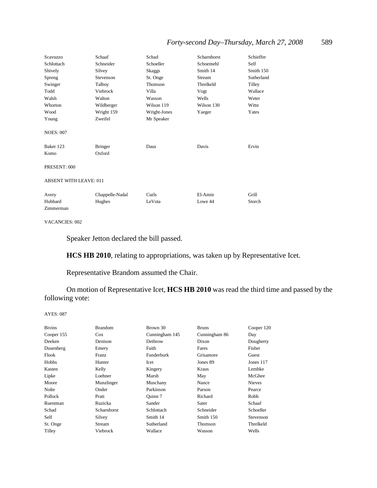| Scavuzzo                      | Schaaf          | Schad         | Scharnhorst | Schieffer  |  |
|-------------------------------|-----------------|---------------|-------------|------------|--|
| Schlottach                    | Schneider       | Schoeller     | Schoemehl   | Self       |  |
| Shively                       | Silvey          | <b>Skaggs</b> | Smith 14    | Smith 150  |  |
| Spreng                        | Stevenson       | St. Onge      | Stream      | Sutherland |  |
| Swinger                       | Talboy          | Thomson       | Threlkeld   | Tilley     |  |
| Todd                          | Viebrock        | Villa         | Vogt        | Wallace    |  |
| Walsh                         | Walton          | Wasson        | Wells       | Weter      |  |
| Whorton                       | Wildberger      | Wilson 119    | Wilson 130  | Witte      |  |
| Wood                          | Wright 159      | Wright-Jones  | Yaeger      | Yates      |  |
| Young                         | Zweifel         | Mr Speaker    |             |            |  |
| <b>NOES: 007</b><br>Baker 123 | <b>Bringer</b>  | Daus          | Davis       | Ervin      |  |
| Komo                          | Oxford          |               |             |            |  |
| PRESENT: 000                  |                 |               |             |            |  |
| <b>ABSENT WITH LEAVE: 011</b> |                 |               |             |            |  |
| Avery                         | Chappelle-Nadal | Curls         | El-Amin     | Grill      |  |
| Hubbard                       | Hughes          | LeVota        | Lowe 44     | Storch     |  |
| Zimmerman                     |                 |               |             |            |  |

#### VACANCIES: 002

Speaker Jetton declared the bill passed.

**HCS HB 2010**, relating to appropriations, was taken up by Representative Icet.

Representative Brandom assumed the Chair.

On motion of Representative Icet, **HCS HB 2010** was read the third time and passed by the following vote:

| <b>Bivins</b> | <b>Brandom</b> | Brown 30       | <b>Bruns</b>  | Cooper 120    |
|---------------|----------------|----------------|---------------|---------------|
| Cooper 155    | $\cos$         | Cunningham 145 | Cunningham 86 | Day           |
| Deeken        | Denison        | Dethrow        | Dixon         | Dougherty     |
| Dusenberg     | Emery          | Faith          | Fares         | Fisher        |
| Flook         | Franz          | Funderburk     | Grisamore     | Guest         |
| Hobbs         | Hunter         | Icet           | Jones 89      | Jones 117     |
| Kasten        | Kelly          | Kingery        | Kraus         | Lembke        |
| Lipke         | Loehner        | Marsh          | May           | McGhee        |
| Moore         | Munzlinger     | Muschany       | Nance         | <b>Nieves</b> |
| Nolte         | Onder          | Parkinson      | Parson        | Pearce        |
| Pollock       | Pratt          | Ouinn 7        | Richard       | Robb          |
| Ruestman      | Ruzicka        | Sander         | Sater         | Schaaf        |
| Schad         | Scharnhorst    | Schlottach     | Schneider     | Schoeller     |
| Self          | Silvey         | Smith 14       | Smith 150     | Stevenson     |
| St. Onge      | Stream         | Sutherland     | Thomson       | Threlkeld     |
| Tilley        | Viebrock       | Wallace        | Wasson        | Wells         |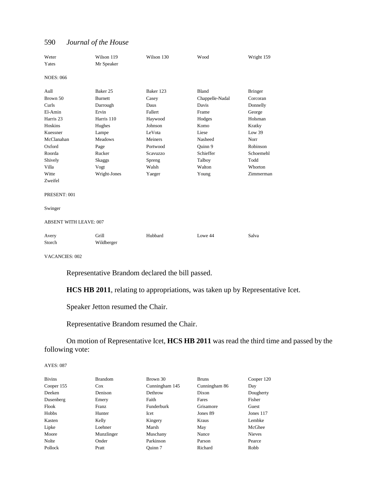| Weter                         | Wilson 119     | Wilson 130 | Wood            | Wright 159     |
|-------------------------------|----------------|------------|-----------------|----------------|
| Yates                         | Mr Speaker     |            |                 |                |
|                               |                |            |                 |                |
| <b>NOES: 066</b>              |                |            |                 |                |
| Aull                          | Baker 25       | Baker 123  | <b>Bland</b>    | <b>Bringer</b> |
| Brown 50                      | <b>Burnett</b> | Casey      | Chappelle-Nadal | Corcoran       |
| Curls                         | Darrough       | Daus       | Davis           | Donnelly       |
| El-Amin                       | Ervin          | Fallert    | Frame           | George         |
| Harris 23                     | Harris 110     | Haywood    | Hodges          | Holsman        |
| Hoskins                       | Hughes         | Johnson    | Komo            | Kratky         |
| Kuessner                      | Lampe          | LeVota     | Liese           | Low 39         |
| McClanahan                    | <b>Meadows</b> | Meiners    | Nasheed         | Norr           |
| Oxford                        | Page           | Portwood   | Ouinn 9         | Robinson       |
| Roorda                        | Rucker         | Scavuzzo   | Schieffer       | Schoemehl      |
| Shively                       | Skaggs         | Spreng     | Talboy          | Todd           |
| Villa                         | Vogt           | Walsh      | Walton          | Whorton        |
| Witte                         | Wright-Jones   | Yaeger     | Young           | Zimmerman      |
| Zweifel                       |                |            |                 |                |
|                               |                |            |                 |                |
| PRESENT: 001                  |                |            |                 |                |
|                               |                |            |                 |                |
| Swinger                       |                |            |                 |                |
|                               |                |            |                 |                |
| <b>ABSENT WITH LEAVE: 007</b> |                |            |                 |                |
|                               |                |            |                 |                |
| Avery                         | Grill          | Hubbard    | Lowe 44         | Salva          |
| Storch                        | Wildberger     |            |                 |                |

VACANCIES: 002

Representative Brandom declared the bill passed.

**HCS HB 2011**, relating to appropriations, was taken up by Representative Icet.

Speaker Jetton resumed the Chair.

Representative Brandom resumed the Chair.

On motion of Representative Icet, **HCS HB 2011** was read the third time and passed by the following vote:

| <b>Bivins</b> | <b>Brandom</b> | Brown 30          | <b>Bruns</b>  | Cooper 120    |
|---------------|----------------|-------------------|---------------|---------------|
| Cooper 155    | Cox            | Cunningham 145    | Cunningham 86 | Day           |
| Deeken        | Denison        | Dethrow           | Dixon         | Dougherty     |
| Dusenberg     | Emery          | Faith             | Fares         | Fisher        |
| Flook         | Franz          | <b>Funderburk</b> | Grisamore     | Guest         |
| Hobbs         | Hunter         | Icet              | Jones 89      | Jones $117$   |
| Kasten        | Kelly          | Kingery           | Kraus         | Lembke        |
| Lipke         | Loehner        | Marsh             | May           | McGhee        |
| Moore         | Munzlinger     | Muschany          | Nance         | <b>Nieves</b> |
| Nolte         | Onder          | Parkinson         | Parson        | Pearce        |
| Pollock       | Pratt          | Ouinn 7           | Richard       | Robb          |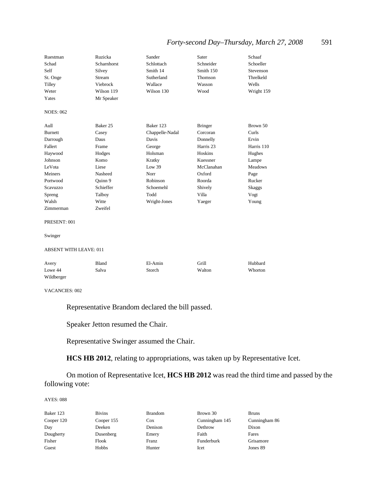| Ruestman         | Ruzicka     | Sander          | Sater          | Schaaf         |
|------------------|-------------|-----------------|----------------|----------------|
| Schad            | Scharnhorst | Schlottach      | Schneider      | Schoeller      |
| Self             | Silvey      | Smith 14        | Smith 150      | Stevenson      |
| St. Onge         | Stream      | Sutherland      | Thomson        | Threlkeld      |
| Tilley           | Viebrock    | Wallace         | Wasson         | Wells          |
| Weter            | Wilson 119  | Wilson 130      | Wood           | Wright 159     |
| Yates            | Mr Speaker  |                 |                |                |
| <b>NOES: 062</b> |             |                 |                |                |
| Aull             | Baker 25    | Baker 123       | <b>Bringer</b> | Brown 50       |
| <b>Burnett</b>   | Casey       | Chappelle-Nadal | Corcoran       | Curls          |
| Darrough         | Daus        | Davis           | Donnelly       | Ervin          |
| Fallert          | Frame       | George          | Harris 23      | Harris 110     |
| Haywood          | Hodges      | Holsman         | Hoskins        | Hughes         |
| Johnson          | Komo        | Kratky          | Kuessner       | Lampe          |
| LeVota           | Liese       | Low 39          | McClanahan     | <b>Meadows</b> |
| Meiners          | Nasheed     | Norr            | Oxford         | Page           |
| Portwood         | Ouinn 9     | Robinson        | Roorda         | Rucker         |
| Scavuzzo         | Schieffer   | Schoemehl       | Shively        | Skaggs         |
| Spreng           | Talboy      | Todd            | Villa          | Vogt           |
| Walsh            | Witte       | Wright-Jones    | Yaeger         | Young          |
| Zimmerman        | Zweifel     |                 |                |                |
| PRESENT: 001     |             |                 |                |                |

Swinger

#### ABSENT WITH LEAVE: 011

| Avery      | Bland | El-Amin | Grill  | Hubbard |
|------------|-------|---------|--------|---------|
| Lowe 44    | Salva | Storch  | Walton | Whorton |
| Wildberger |       |         |        |         |

VACANCIES: 002

Representative Brandom declared the bill passed.

Speaker Jetton resumed the Chair.

Representative Swinger assumed the Chair.

**HCS HB 2012**, relating to appropriations, was taken up by Representative Icet.

On motion of Representative Icet, **HCS HB 2012** was read the third time and passed by the following vote:

| Baker 123  | <b>Bivins</b> | <b>Brandom</b> | Brown 30       | <b>Bruns</b>  |
|------------|---------------|----------------|----------------|---------------|
| Cooper 120 | Cooper 155    | Cox            | Cunningham 145 | Cunningham 86 |
| Day        | Deeken        | Denison        | Dethrow        | Dixon         |
| Dougherty  | Dusenberg     | Emery          | Faith          | Fares         |
| Fisher     | Flook         | Franz          | Funderburk     | Grisamore     |
| Guest      | Hobbs         | Hunter         | Icet           | Jones 89      |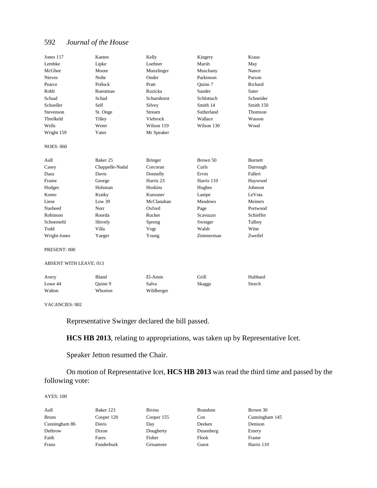| Jones 117                     | Kasten          | Kelly          | Kingery        | <b>Kraus</b>   |
|-------------------------------|-----------------|----------------|----------------|----------------|
| Lembke                        | Lipke           | Loehner        | Marsh          | May            |
| McGhee                        | Moore           | Munzlinger     | Muschany       | Nance          |
| <b>Nieves</b>                 | Nolte           | Onder          | Parkinson      | Parson         |
| Pearce                        | Pollock         | Pratt          | Ouinn 7        | Richard        |
| Robb                          | Ruestman        | Ruzicka        | Sander         | Sater          |
| Schaaf                        | Schad           | Scharnhorst    | Schlottach     | Schneider      |
| Schoeller                     | Self            | Silvey         | Smith 14       | Smith 150      |
| Stevenson                     | St. Onge        | Stream         | Sutherland     | Thomson        |
| Threlkeld                     | Tilley          | Viebrock       | Wallace        | Wasson         |
| Wells                         | Weter           | Wilson 119     | Wilson 130     | Wood           |
| Wright 159                    | Yates           | Mr Speaker     |                |                |
| <b>NOES: 060</b>              |                 |                |                |                |
| Aull                          | Baker 25        | <b>Bringer</b> | Brown 50       | <b>Burnett</b> |
| Casey                         | Chappelle-Nadal | Corcoran       | Curls          | Darrough       |
| Daus                          | Davis           | Donnelly       | Ervin          | Fallert        |
| Frame                         | George          | Harris 23      | Harris 110     | Haywood        |
| Hodges                        | Holsman         | Hoskins        | Hughes         | Johnson        |
| Komo                          | Kratky          | Kuessner       | Lampe          | LeVota         |
| Liese                         | Low 39          | McClanahan     | <b>Meadows</b> | Meiners        |
| Nasheed                       | Norr            | Oxford         | Page           | Portwood       |
| Robinson                      | Roorda          | Rucker         | Scavuzzo       | Schieffer      |
| Schoemehl                     | Shively         | Spreng         | Swinger        | Talboy         |
| Todd                          | Villa           | Vogt           | Walsh          | Witte          |
| Wright-Jones                  | Yaeger          | Young          | Zimmerman      | Zweifel        |
| PRESENT: 000                  |                 |                |                |                |
| <b>ABSENT WITH LEAVE: 013</b> |                 |                |                |                |
| Avery                         | <b>Bland</b>    | El-Amin        | Grill          | Hubbard        |
| Lowe 44                       | Quinn 9         | Salva          | <b>Skaggs</b>  | Storch         |
| Walton                        | Whorton         | Wildberger     |                |                |

#### VACANCIES: 002

Representative Swinger declared the bill passed.

**HCS HB 2013**, relating to appropriations, was taken up by Representative Icet.

Speaker Jetton resumed the Chair.

On motion of Representative Icet, **HCS HB 2013** was read the third time and passed by the following vote:

| Aull<br><b>Bruns</b> | Baker 123<br>Cooper 120 | <b>Bivins</b><br>Cooper 155 | <b>Brandom</b><br>Cox | Brown 30<br>Cunningham 145 |
|----------------------|-------------------------|-----------------------------|-----------------------|----------------------------|
| Cunningham 86        | Davis                   | Day                         | Deeken                | Denison                    |
| Dethrow              | Dixon                   | Dougherty                   | Dusenberg             | Emery                      |
| Faith                | Fares                   | Fisher                      | Flook                 | Frame                      |
| Franz                | Funderburk              | Grisamore                   | Guest                 | Harris 110                 |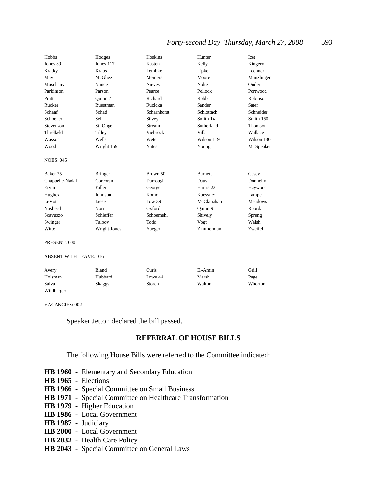| Hobbs                         | Hodges         | Hoskins       | Hunter         | Icet           |
|-------------------------------|----------------|---------------|----------------|----------------|
| Jones 89                      | Jones 117      | Kasten        | Kelly          | Kingery        |
| Kratky                        | Kraus          | Lembke        | Lipke          | Loehner        |
| May                           | McGhee         | Meiners       | Moore          | Munzlinger     |
| Muschany                      | Nance          | <b>Nieves</b> | <b>Nolte</b>   | Onder          |
| Parkinson                     | Parson         | Pearce        | Pollock        | Portwood       |
| Pratt                         | Ouinn 7        | Richard       | Robb           | Robinson       |
| Rucker                        | Ruestman       | Ruzicka       | Sander         | Sater          |
| Schaaf                        | Schad          | Scharnhorst   | Schlottach     | Schneider      |
| Schoeller                     | Self           | Silvey        | Smith 14       | Smith 150      |
| Stevenson                     | St. Onge       | Stream        | Sutherland     | Thomson        |
| Threlkeld                     | Tilley         | Viebrock      | Villa          | Wallace        |
| Wasson                        | Wells          | Weter         | Wilson 119     | Wilson 130     |
| Wood                          | Wright 159     | Yates         | Young          | Mr Speaker     |
| <b>NOES: 045</b>              |                |               |                |                |
| Baker 25                      | <b>Bringer</b> | Brown 50      | <b>Burnett</b> | Casey          |
| Chappelle-Nadal               | Corcoran       | Darrough      | Daus           | Donnelly       |
| Ervin                         | Fallert        | George        | Harris 23      | Haywood        |
| Hughes                        | Johnson        | Komo          | Kuessner       | Lampe          |
| LeVota                        | Liese          | Low 39        | McClanahan     | <b>Meadows</b> |
| Nasheed                       | Norr           | Oxford        | Quinn 9        | Roorda         |
| <b>Scavuzzo</b>               | Schieffer      | Schoemehl     | Shively        | Spreng         |
| Swinger                       | Talboy         | Todd          | Vogt           | Walsh          |
| Witte                         | Wright-Jones   | Yaeger        | Zimmerman      | Zweifel        |
| PRESENT: 000                  |                |               |                |                |
| <b>ABSENT WITH LEAVE: 016</b> |                |               |                |                |
| Avery                         | <b>Bland</b>   | Curls         | El-Amin        | Grill          |
| Holsman                       | Hubbard        | Lowe 44       | Marsh          | Page           |

Salva Skaggs Storch Walton Whorton

VACANCIES: 002

Wildberger

Speaker Jetton declared the bill passed.

#### **REFERRAL OF HOUSE BILLS**

The following House Bills were referred to the Committee indicated:

- **HB 1960** Elementary and Secondary Education
- **HB 1965** Elections
- **HB 1966** Special Committee on Small Business
- **HB 1971** Special Committee on Healthcare Transformation
- **HB 1979** Higher Education
- **HB 1986** Local Government
- **HB 1987** Judiciary
- **HB 2000** Local Government
- **HB 2032** Health Care Policy
- **HB 2043** Special Committee on General Laws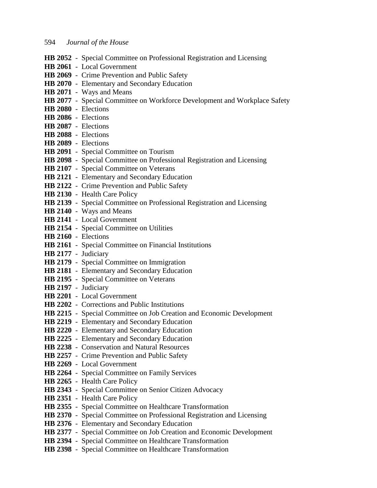- **HB 2052** Special Committee on Professional Registration and Licensing
- **HB 2061** Local Government
- **HB 2069** Crime Prevention and Public Safety
- **HB 2070** Elementary and Secondary Education
- **HB 2071** Ways and Means
- **HB 2077** Special Committee on Workforce Development and Workplace Safety
- **HB 2080** Elections
- **HB 2086** Elections
- **HB 2087** Elections
- **HB 2088** Elections
- **HB 2089** Elections
- **HB 2091** Special Committee on Tourism
- **HB 2098** Special Committee on Professional Registration and Licensing
- **HB 2107** Special Committee on Veterans
- **HB 2121** Elementary and Secondary Education
- **HB 2122** Crime Prevention and Public Safety
- **HB 2130** Health Care Policy
- **HB 2139** Special Committee on Professional Registration and Licensing
- **HB 2140** Ways and Means
- **HB 2141** Local Government
- **HB 2154** Special Committee on Utilities
- **HB 2160** Elections
- **HB 2161** Special Committee on Financial Institutions
- **HB 2177** Judiciary
- **HB 2179** Special Committee on Immigration
- **HB 2181** Elementary and Secondary Education
- **HB 2195** Special Committee on Veterans
- **HB 2197** Judiciary
- **HB 2201** Local Government
- **HB 2202** Corrections and Public Institutions
- **HB 2215** Special Committee on Job Creation and Economic Development
- **HB 2219** Elementary and Secondary Education
- **HB 2220** Elementary and Secondary Education
- **HB 2225** Elementary and Secondary Education
- **HB 2238** Conservation and Natural Resources
- **HB 2257** Crime Prevention and Public Safety
- **HB 2269** Local Government
- **HB 2264** Special Committee on Family Services
- **HB 2265** Health Care Policy
- **HB 2343** Special Committee on Senior Citizen Advocacy
- **HB 2351** Health Care Policy
- **HB 2355** Special Committee on Healthcare Transformation
- **HB 2370** Special Committee on Professional Registration and Licensing
- **HB 2376** Elementary and Secondary Education
- **HB 2377** Special Committee on Job Creation and Economic Development
- **HB 2394** Special Committee on Healthcare Transformation
- **HB 2398** Special Committee on Healthcare Transformation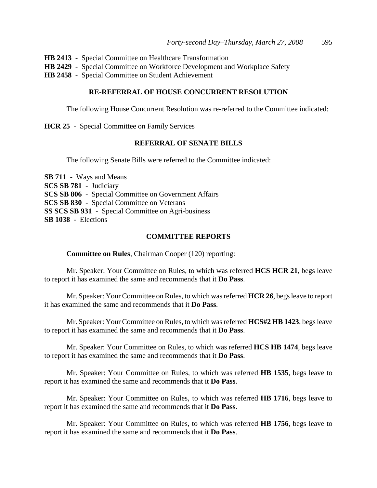**HB 2413** - Special Committee on Healthcare Transformation

- **HB 2429** Special Committee on Workforce Development and Workplace Safety
- **HB 2458** Special Committee on Student Achievement

### **RE-REFERRAL OF HOUSE CONCURRENT RESOLUTION**

The following House Concurrent Resolution was re-referred to the Committee indicated:

**HCR 25** - Special Committee on Family Services

# **REFERRAL OF SENATE BILLS**

The following Senate Bills were referred to the Committee indicated:

**SB 711** - Ways and Means **SCS SB 781** - Judiciary **SCS SB 806** - Special Committee on Government Affairs **SCS SB 830** - Special Committee on Veterans **SS SCS SB 931** - Special Committee on Agri-business **SB 1038** - Elections

### **COMMITTEE REPORTS**

**Committee on Rules**, Chairman Cooper (120) reporting:

Mr. Speaker: Your Committee on Rules, to which was referred **HCS HCR 21**, begs leave to report it has examined the same and recommends that it **Do Pass**.

Mr. Speaker: Your Committee on Rules, to which was referred **HCR 26**, begs leave to report it has examined the same and recommends that it **Do Pass**.

Mr. Speaker: Your Committee on Rules, to which was referred **HCS#2 HB 1423**, begs leave to report it has examined the same and recommends that it **Do Pass**.

Mr. Speaker: Your Committee on Rules, to which was referred **HCS HB 1474**, begs leave to report it has examined the same and recommends that it **Do Pass**.

Mr. Speaker: Your Committee on Rules, to which was referred **HB 1535**, begs leave to report it has examined the same and recommends that it **Do Pass**.

Mr. Speaker: Your Committee on Rules, to which was referred **HB 1716**, begs leave to report it has examined the same and recommends that it **Do Pass**.

Mr. Speaker: Your Committee on Rules, to which was referred **HB 1756**, begs leave to report it has examined the same and recommends that it **Do Pass**.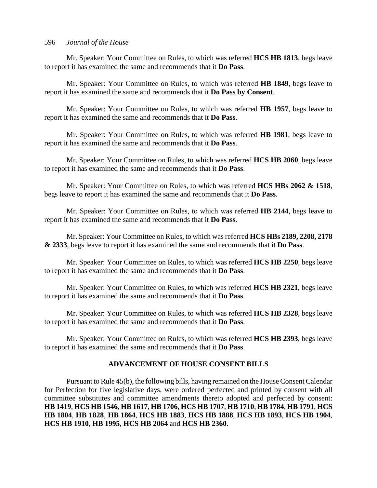Mr. Speaker: Your Committee on Rules, to which was referred **HCS HB 1813**, begs leave to report it has examined the same and recommends that it **Do Pass**.

Mr. Speaker: Your Committee on Rules, to which was referred **HB 1849**, begs leave to report it has examined the same and recommends that it **Do Pass by Consent**.

Mr. Speaker: Your Committee on Rules, to which was referred **HB 1957**, begs leave to report it has examined the same and recommends that it **Do Pass**.

Mr. Speaker: Your Committee on Rules, to which was referred **HB 1981**, begs leave to report it has examined the same and recommends that it **Do Pass**.

Mr. Speaker: Your Committee on Rules, to which was referred **HCS HB 2060**, begs leave to report it has examined the same and recommends that it **Do Pass**.

Mr. Speaker: Your Committee on Rules, to which was referred **HCS HBs 2062 & 1518**, begs leave to report it has examined the same and recommends that it **Do Pass**.

Mr. Speaker: Your Committee on Rules, to which was referred **HB 2144**, begs leave to report it has examined the same and recommends that it **Do Pass**.

Mr. Speaker: Your Committee on Rules, to which was referred **HCS HBs 2189, 2208, 2178 & 2333**, begs leave to report it has examined the same and recommends that it **Do Pass**.

Mr. Speaker: Your Committee on Rules, to which was referred **HCS HB 2250**, begs leave to report it has examined the same and recommends that it **Do Pass**.

Mr. Speaker: Your Committee on Rules, to which was referred **HCS HB 2321**, begs leave to report it has examined the same and recommends that it **Do Pass**.

Mr. Speaker: Your Committee on Rules, to which was referred **HCS HB 2328**, begs leave to report it has examined the same and recommends that it **Do Pass**.

Mr. Speaker: Your Committee on Rules, to which was referred **HCS HB 2393**, begs leave to report it has examined the same and recommends that it **Do Pass**.

# **ADVANCEMENT OF HOUSE CONSENT BILLS**

Pursuant to Rule 45(b), the following bills, having remained on the House Consent Calendar for Perfection for five legislative days, were ordered perfected and printed by consent with all committee substitutes and committee amendments thereto adopted and perfected by consent: **HB 1419**, **HCS HB 1546**, **HB 1617**, **HB 1706**, **HCS HB 1707**, **HB 1710**, **HB 1784**, **HB 1791**, **HCS HB 1804**, **HB 1828**, **HB 1864**, **HCS HB 1883**, **HCS HB 1888**, **HCS HB 1893**, **HCS HB 1904**, **HCS HB 1910**, **HB 1995**, **HCS HB 2064** and **HCS HB 2360**.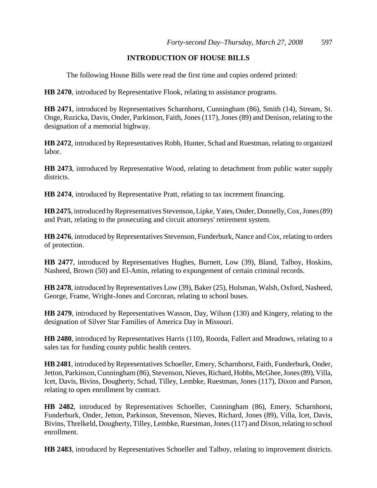# **INTRODUCTION OF HOUSE BILLS**

The following House Bills were read the first time and copies ordered printed:

**HB 2470**, introduced by Representative Flook, relating to assistance programs.

**HB 2471**, introduced by Representatives Scharnhorst, Cunningham (86), Smith (14), Stream, St. Onge, Ruzicka, Davis, Onder, Parkinson, Faith, Jones (117), Jones (89) and Denison, relating to the designation of a memorial highway.

**HB 2472**, introduced by Representatives Robb, Hunter, Schad and Ruestman, relating to organized labor.

**HB 2473**, introduced by Representative Wood, relating to detachment from public water supply districts.

**HB 2474**, introduced by Representative Pratt, relating to tax increment financing.

**HB 2475**, introduced by Representatives Stevenson, Lipke, Yates, Onder, Donnelly, Cox, Jones (89) and Pratt, relating to the prosecuting and circuit attorneys' retirement system.

**HB 2476**, introduced by Representatives Stevenson, Funderburk, Nance and Cox, relating to orders of protection.

**HB 2477**, introduced by Representatives Hughes, Burnett, Low (39), Bland, Talboy, Hoskins, Nasheed, Brown (50) and El-Amin, relating to expungement of certain criminal records.

**HB 2478**, introduced by Representatives Low (39), Baker (25), Holsman, Walsh, Oxford, Nasheed, George, Frame, Wright-Jones and Corcoran, relating to school buses.

**HB 2479**, introduced by Representatives Wasson, Day, Wilson (130) and Kingery, relating to the designation of Silver Star Families of America Day in Missouri.

**HB 2480**, introduced by Representatives Harris (110), Roorda, Fallert and Meadows, relating to a sales tax for funding county public health centers.

**HB 2481**, introduced by Representatives Schoeller, Emery, Scharnhorst, Faith, Funderburk, Onder, Jetton, Parkinson, Cunningham (86), Stevenson, Nieves, Richard, Hobbs, McGhee, Jones (89), Villa, Icet, Davis, Bivins, Dougherty, Schad, Tilley, Lembke, Ruestman, Jones (117), Dixon and Parson, relating to open enrollment by contract.

**HB 2482**, introduced by Representatives Schoeller, Cunningham (86), Emery, Scharnhorst, Funderburk, Onder, Jetton, Parkinson, Stevenson, Nieves, Richard, Jones (89), Villa, Icet, Davis, Bivins, Threlkeld, Dougherty, Tilley, Lembke, Ruestman, Jones (117) and Dixon, relating to school enrollment.

**HB 2483**, introduced by Representatives Schoeller and Talboy, relating to improvement districts.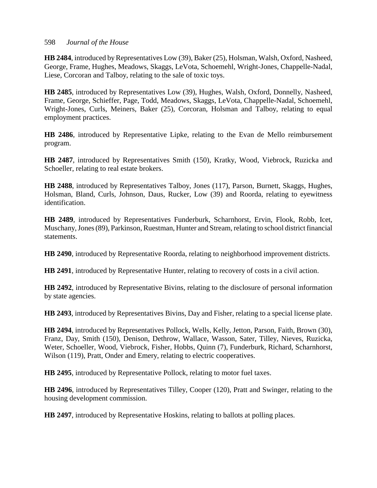**HB 2484**, introduced by Representatives Low (39), Baker (25), Holsman, Walsh, Oxford, Nasheed, George, Frame, Hughes, Meadows, Skaggs, LeVota, Schoemehl, Wright-Jones, Chappelle-Nadal, Liese, Corcoran and Talboy, relating to the sale of toxic toys.

**HB 2485**, introduced by Representatives Low (39), Hughes, Walsh, Oxford, Donnelly, Nasheed, Frame, George, Schieffer, Page, Todd, Meadows, Skaggs, LeVota, Chappelle-Nadal, Schoemehl, Wright-Jones, Curls, Meiners, Baker (25), Corcoran, Holsman and Talboy, relating to equal employment practices.

**HB 2486**, introduced by Representative Lipke, relating to the Evan de Mello reimbursement program.

**HB 2487**, introduced by Representatives Smith (150), Kratky, Wood, Viebrock, Ruzicka and Schoeller, relating to real estate brokers.

**HB 2488**, introduced by Representatives Talboy, Jones (117), Parson, Burnett, Skaggs, Hughes, Holsman, Bland, Curls, Johnson, Daus, Rucker, Low (39) and Roorda, relating to eyewitness identification.

**HB 2489**, introduced by Representatives Funderburk, Scharnhorst, Ervin, Flook, Robb, Icet, Muschany, Jones (89), Parkinson, Ruestman, Hunter and Stream, relating to school district financial statements.

**HB 2490**, introduced by Representative Roorda, relating to neighborhood improvement districts.

**HB 2491**, introduced by Representative Hunter, relating to recovery of costs in a civil action.

**HB 2492**, introduced by Representative Bivins, relating to the disclosure of personal information by state agencies.

**HB 2493**, introduced by Representatives Bivins, Day and Fisher, relating to a special license plate.

**HB 2494**, introduced by Representatives Pollock, Wells, Kelly, Jetton, Parson, Faith, Brown (30), Franz, Day, Smith (150), Denison, Dethrow, Wallace, Wasson, Sater, Tilley, Nieves, Ruzicka, Weter, Schoeller, Wood, Viebrock, Fisher, Hobbs, Quinn (7), Funderburk, Richard, Scharnhorst, Wilson (119), Pratt, Onder and Emery, relating to electric cooperatives.

**HB 2495**, introduced by Representative Pollock, relating to motor fuel taxes.

**HB 2496**, introduced by Representatives Tilley, Cooper (120), Pratt and Swinger, relating to the housing development commission.

**HB 2497**, introduced by Representative Hoskins, relating to ballots at polling places.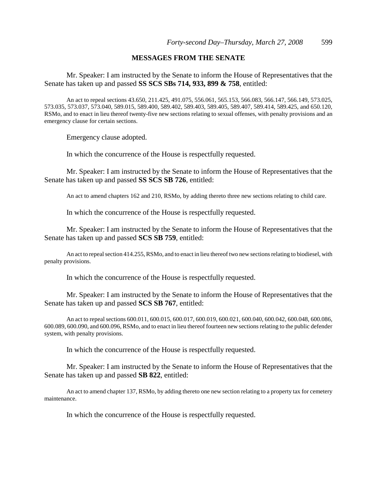### **MESSAGES FROM THE SENATE**

Mr. Speaker: I am instructed by the Senate to inform the House of Representatives that the Senate has taken up and passed **SS SCS SBs 714, 933, 899 & 758**, entitled:

An act to repeal sections 43.650, 211.425, 491.075, 556.061, 565.153, 566.083, 566.147, 566.149, 573.025, 573.035, 573.037, 573.040, 589.015, 589.400, 589.402, 589.403, 589.405, 589.407, 589.414, 589.425, and 650.120, RSMo, and to enact in lieu thereof twenty-five new sections relating to sexual offenses, with penalty provisions and an emergency clause for certain sections.

Emergency clause adopted.

In which the concurrence of the House is respectfully requested.

Mr. Speaker: I am instructed by the Senate to inform the House of Representatives that the Senate has taken up and passed **SS SCS SB 726**, entitled:

An act to amend chapters 162 and 210, RSMo, by adding thereto three new sections relating to child care.

In which the concurrence of the House is respectfully requested.

Mr. Speaker: I am instructed by the Senate to inform the House of Representatives that the Senate has taken up and passed **SCS SB 759**, entitled:

An act to repeal section 414.255, RSMo, and to enact in lieu thereof two new sections relating to biodiesel, with penalty provisions.

In which the concurrence of the House is respectfully requested.

Mr. Speaker: I am instructed by the Senate to inform the House of Representatives that the Senate has taken up and passed **SCS SB 767**, entitled:

An act to repeal sections 600.011, 600.015, 600.017, 600.019, 600.021, 600.040, 600.042, 600.048, 600.086, 600.089, 600.090, and 600.096, RSMo, and to enact in lieu thereof fourteen new sections relating to the public defender system, with penalty provisions.

In which the concurrence of the House is respectfully requested.

Mr. Speaker: I am instructed by the Senate to inform the House of Representatives that the Senate has taken up and passed **SB 822**, entitled:

An act to amend chapter 137, RSMo, by adding thereto one new section relating to a property tax for cemetery maintenance.

In which the concurrence of the House is respectfully requested.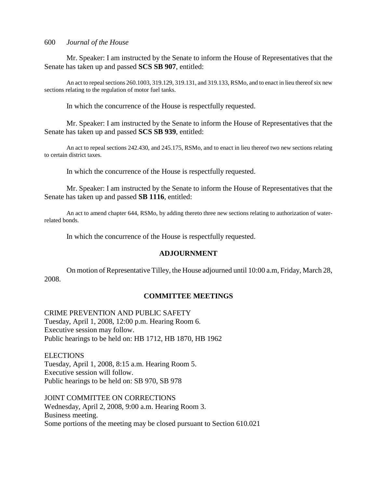Mr. Speaker: I am instructed by the Senate to inform the House of Representatives that the Senate has taken up and passed **SCS SB 907**, entitled:

An act to repeal sections 260.1003, 319.129, 319.131, and 319.133, RSMo, and to enact in lieu thereof six new sections relating to the regulation of motor fuel tanks.

In which the concurrence of the House is respectfully requested.

Mr. Speaker: I am instructed by the Senate to inform the House of Representatives that the Senate has taken up and passed **SCS SB 939**, entitled:

An act to repeal sections 242.430, and 245.175, RSMo, and to enact in lieu thereof two new sections relating to certain district taxes.

In which the concurrence of the House is respectfully requested.

Mr. Speaker: I am instructed by the Senate to inform the House of Representatives that the Senate has taken up and passed **SB 1116**, entitled:

An act to amend chapter 644, RSMo, by adding thereto three new sections relating to authorization of waterrelated bonds.

In which the concurrence of the House is respectfully requested.

### **ADJOURNMENT**

On motion of Representative Tilley, the House adjourned until 10:00 a.m, Friday, March 28, 2008.

### **COMMITTEE MEETINGS**

CRIME PREVENTION AND PUBLIC SAFETY Tuesday, April 1, 2008, 12:00 p.m. Hearing Room 6. Executive session may follow. Public hearings to be held on: HB 1712, HB 1870, HB 1962

**ELECTIONS** Tuesday, April 1, 2008, 8:15 a.m. Hearing Room 5. Executive session will follow. Public hearings to be held on: SB 970, SB 978

JOINT COMMITTEE ON CORRECTIONS Wednesday, April 2, 2008, 9:00 a.m. Hearing Room 3. Business meeting. Some portions of the meeting may be closed pursuant to Section 610.021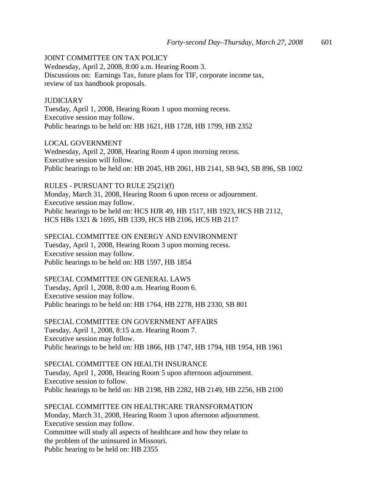# JOINT COMMITTEE ON TAX POLICY

Wednesday, April 2, 2008, 8:00 a.m. Hearing Room 3. Discussions on: Earnings Tax, future plans for TIF, corporate income tax, review of tax handbook proposals.

### **JUDICIARY**

Tuesday, April 1, 2008, Hearing Room 1 upon morning recess. Executive session may follow. Public hearings to be held on: HB 1621, HB 1728, HB 1799, HB 2352

LOCAL GOVERNMENT

Wednesday, April 2, 2008, Hearing Room 4 upon morning recess. Executive session will follow. Public hearings to be held on: HB 2045, HB 2061, HB 2141, SB 943, SB 896, SB 1002

RULES - PURSUANT TO RULE 25(21)(f) Monday, March 31, 2008, Hearing Room 6 upon recess or adjournment. Executive session may follow. Public hearings to be held on: HCS HJR 49, HB 1517, HB 1923, HCS HB 2112, HCS HBs 1321 & 1695, HB 1339, HCS HB 2106, HCS HB 2117

SPECIAL COMMITTEE ON ENERGY AND ENVIRONMENT Tuesday, April 1, 2008, Hearing Room 3 upon morning recess. Executive session may follow. Public hearings to be held on: HB 1597, HB 1854

### SPECIAL COMMITTEE ON GENERAL LAWS

Tuesday, April 1, 2008, 8:00 a.m. Hearing Room 6. Executive session may follow. Public hearings to be held on: HB 1764, HB 2278, HB 2330, SB 801

SPECIAL COMMITTEE ON GOVERNMENT AFFAIRS Tuesday, April 1, 2008, 8:15 a.m. Hearing Room 7. Executive session may follow. Public hearings to be held on: HB 1866, HB 1747, HB 1794, HB 1954, HB 1961

SPECIAL COMMITTEE ON HEALTH INSURANCE Tuesday, April 1, 2008, Hearing Room 5 upon afternoon adjournment. Executive session to follow. Public hearings to be held on: HB 2198, HB 2282, HB 2149, HB 2256, HB 2100

SPECIAL COMMITTEE ON HEALTHCARE TRANSFORMATION Monday, March 31, 2008, Hearing Room 3 upon afternoon adjournment. Executive session may follow. Committee will study all aspects of healthcare and how they relate to the problem of the uninsured in Missouri. Public hearing to be held on: HB 2355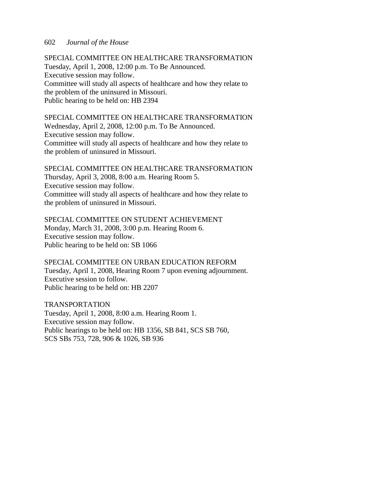SPECIAL COMMITTEE ON HEALTHCARE TRANSFORMATION Tuesday, April 1, 2008, 12:00 p.m. To Be Announced. Executive session may follow. Committee will study all aspects of healthcare and how they relate to the problem of the uninsured in Missouri. Public hearing to be held on: HB 2394

SPECIAL COMMITTEE ON HEALTHCARE TRANSFORMATION Wednesday, April 2, 2008, 12:00 p.m. To Be Announced. Executive session may follow. Committee will study all aspects of healthcare and how they relate to the problem of uninsured in Missouri.

SPECIAL COMMITTEE ON HEALTHCARE TRANSFORMATION Thursday, April 3, 2008, 8:00 a.m. Hearing Room 5. Executive session may follow. Committee will study all aspects of healthcare and how they relate to the problem of uninsured in Missouri.

SPECIAL COMMITTEE ON STUDENT ACHIEVEMENT Monday, March 31, 2008, 3:00 p.m. Hearing Room 6. Executive session may follow. Public hearing to be held on: SB 1066

SPECIAL COMMITTEE ON URBAN EDUCATION REFORM Tuesday, April 1, 2008, Hearing Room 7 upon evening adjournment. Executive session to follow. Public hearing to be held on: HB 2207

TRANSPORTATION Tuesday, April 1, 2008, 8:00 a.m. Hearing Room 1. Executive session may follow. Public hearings to be held on: HB 1356, SB 841, SCS SB 760, SCS SBs 753, 728, 906 & 1026, SB 936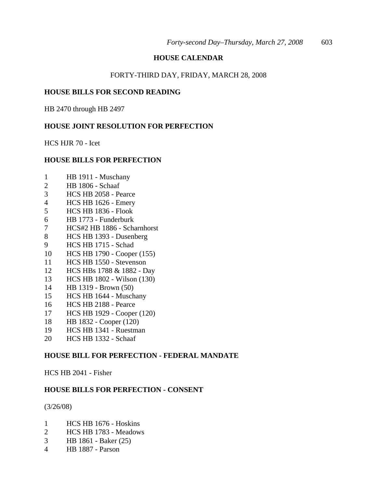# **HOUSE CALENDAR**

### FORTY-THIRD DAY, FRIDAY, MARCH 28, 2008

### **HOUSE BILLS FOR SECOND READING**

HB 2470 through HB 2497

# **HOUSE JOINT RESOLUTION FOR PERFECTION**

HCS HJR 70 - Icet

# **HOUSE BILLS FOR PERFECTION**

- 1 HB 1911 Muschany
- 2 HB 1806 Schaaf
- 3 HCS HB 2058 Pearce
- 4 HCS HB 1626 Emery
- 5 HCS HB 1836 Flook
- 6 HB 1773 Funderburk
- 7 HCS#2 HB 1886 Scharnhorst
- 8 HCS HB 1393 Dusenberg
- 9 HCS HB 1715 Schad
- 10 HCS HB 1790 Cooper (155)
- 11 HCS HB 1550 Stevenson
- 12 HCS HBs 1788 & 1882 Day
- 13 HCS HB 1802 Wilson (130)
- 14 HB 1319 Brown (50)
- 15 HCS HB 1644 Muschany
- 16 HCS HB 2188 Pearce
- 17 HCS HB 1929 Cooper (120)
- 18 HB 1832 Cooper (120)
- 19 HCS HB 1341 Ruestman
- 20 HCS HB 1332 Schaaf

### **HOUSE BILL FOR PERFECTION - FEDERAL MANDATE**

HCS HB 2041 - Fisher

### **HOUSE BILLS FOR PERFECTION - CONSENT**

(3/26/08)

- 1 HCS HB 1676 Hoskins
- 2 HCS HB 1783 Meadows
- 3 HB 1861 Baker (25)
- 4 HB 1887 Parson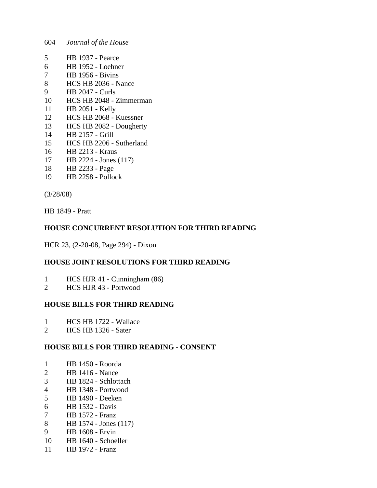- 5 HB 1937 Pearce
- 6 HB 1952 Loehner
- 7 HB 1956 Bivins
- 8 HCS HB 2036 Nance
- 9 HB 2047 Curls
- 10 HCS HB 2048 Zimmerman
- 11 HB 2051 Kelly
- 12 HCS HB 2068 Kuessner
- 13 HCS HB 2082 Dougherty
- 14 HB 2157 Grill
- 15 HCS HB 2206 Sutherland
- 16 HB 2213 Kraus
- 17 HB 2224 Jones (117)
- 18 HB 2233 Page
- 19 HB 2258 Pollock

(3/28/08)

HB 1849 - Pratt

# **HOUSE CONCURRENT RESOLUTION FOR THIRD READING**

HCR 23, (2-20-08, Page 294) - Dixon

# **HOUSE JOINT RESOLUTIONS FOR THIRD READING**

- 1 HCS HJR 41 Cunningham (86)
- 2 HCS HJR 43 Portwood

# **HOUSE BILLS FOR THIRD READING**

- 1 HCS HB 1722 Wallace<br>2 HCS HB 1326 Sater
- 2 HCS HB 1326 Sater

# **HOUSE BILLS FOR THIRD READING - CONSENT**

- 1 HB 1450 Roorda
- 2 HB 1416 Nance
- 3 HB 1824 Schlottach
- 4 HB 1348 Portwood
- 5 HB 1490 Deeken
- 6 HB 1532 Davis
- 7 HB 1572 Franz
- 8 HB 1574 Jones (117)
- 9 HB 1608 Ervin
- 10 HB 1640 Schoeller
- 11 HB 1972 Franz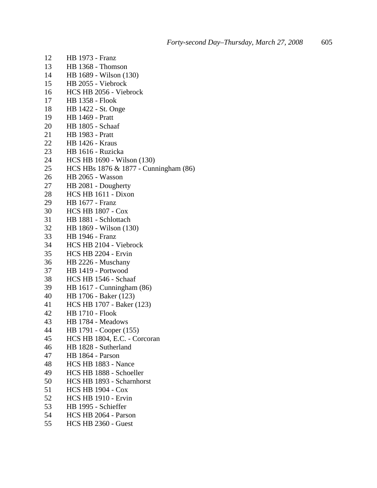| 12 | <b>HB</b> 1973 - Franz                |
|----|---------------------------------------|
| 13 | HB 1368 - Thomson                     |
| 14 | HB 1689 - Wilson (130)                |
| 15 | HB 2055 - Viebrock                    |
| 16 | HCS HB 2056 - Viebrock                |
| 17 | <b>HB 1358 - Flook</b>                |
| 18 | HB 1422 - St. Onge                    |
| 19 | <b>HB</b> 1469 - Pratt                |
| 20 | <b>HB</b> 1805 - Schaaf               |
| 21 | <b>HB</b> 1983 - Pratt                |
| 22 | <b>HB 1426 - Kraus</b>                |
| 23 | HB 1616 - Ruzicka                     |
| 24 | HCS HB 1690 - Wilson (130)            |
| 25 | HCS HBs 1876 & 1877 - Cunningham (86) |
| 26 | <b>HB 2065 - Wasson</b>               |
| 27 | HB 2081 - Dougherty                   |
| 28 | HCS HB 1611 - Dixon                   |
| 29 | <b>HB</b> 1677 - Franz                |
| 30 | <b>HCS HB 1807 - Cox</b>              |
| 31 | HB 1881 - Schlottach                  |
| 32 | HB 1869 - Wilson (130)                |
| 33 | <b>HB</b> 1946 - Franz                |
| 34 | HCS HB 2104 - Viebrock                |
| 35 | HCS HB 2204 - Ervin                   |
| 36 | HB 2226 - Muschany                    |
| 37 | HB 1419 - Portwood                    |
| 38 | HCS HB 1546 - Schaaf                  |
| 39 | HB 1617 - Cunningham (86)             |
| 40 | HB 1706 - Baker (123)                 |
| 41 | HCS HB 1707 - Baker (123)             |
| 42 | <b>HB 1710 - Flook</b>                |
| 43 | HB 1784 - Meadows                     |
| 44 | HB 1791 - Cooper (155)                |
| 45 | HCS HB 1804, E.C. - Corcoran          |
| 46 | HB 1828 - Sutherland                  |
| 47 | HB 1864 - Parson                      |
| 48 | HCS HB 1883 - Nance                   |
| 49 | HCS HB 1888 - Schoeller               |
| 50 | HCS HB 1893 - Scharnhorst             |
| 51 | <b>HCS HB 1904 - Cox</b>              |
| 52 | <b>HCS HB 1910 - Ervin</b>            |
| 53 | HB 1995 - Schieffer                   |
| 54 | HCS HB 2064 - Parson                  |
| 55 | HCS HB 2360 - Guest                   |